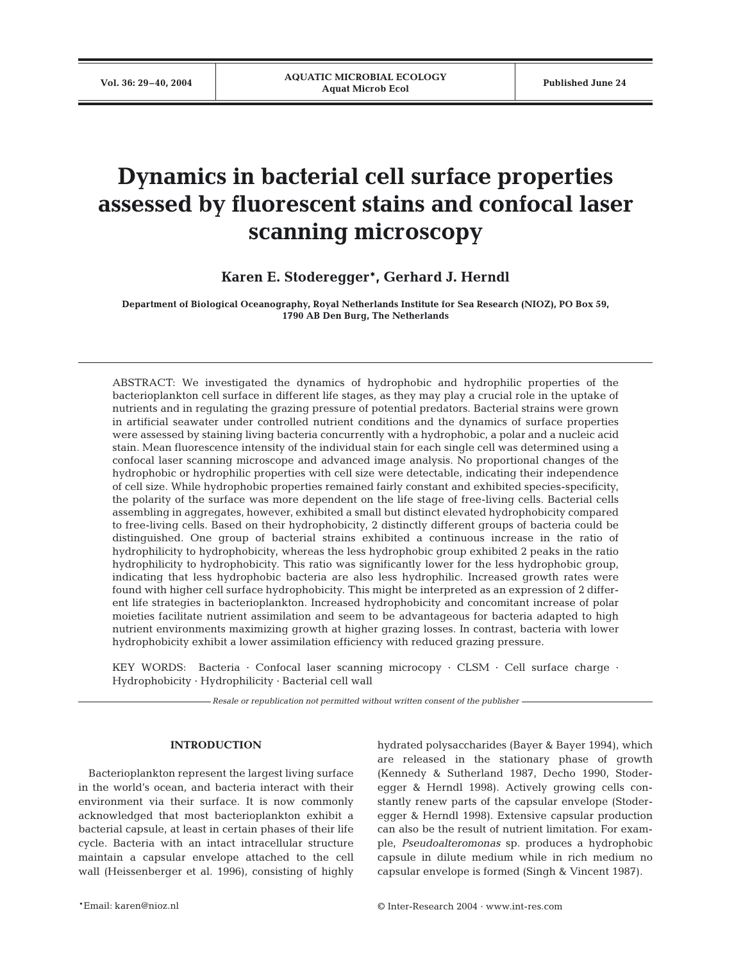# **Dynamics in bacterial cell surface properties assessed by fluorescent stains and confocal laser scanning microscopy**

**Karen E. Stoderegger\*, Gerhard J. Herndl**

**Department of Biological Oceanography, Royal Netherlands Institute for Sea Research (NIOZ), PO Box 59, 1790 AB Den Burg, The Netherlands**

ABSTRACT: We investigated the dynamics of hydrophobic and hydrophilic properties of the bacterioplankton cell surface in different life stages, as they may play a crucial role in the uptake of nutrients and in regulating the grazing pressure of potential predators. Bacterial strains were grown in artificial seawater under controlled nutrient conditions and the dynamics of surface properties were assessed by staining living bacteria concurrently with a hydrophobic, a polar and a nucleic acid stain. Mean fluorescence intensity of the individual stain for each single cell was determined using a confocal laser scanning microscope and advanced image analysis. No proportional changes of the hydrophobic or hydrophilic properties with cell size were detectable, indicating their independence of cell size. While hydrophobic properties remained fairly constant and exhibited species-specificity, the polarity of the surface was more dependent on the life stage of free-living cells. Bacterial cells assembling in aggregates, however, exhibited a small but distinct elevated hydrophobicity compared to free-living cells. Based on their hydrophobicity, 2 distinctly different groups of bacteria could be distinguished. One group of bacterial strains exhibited a continuous increase in the ratio of hydrophilicity to hydrophobicity, whereas the less hydrophobic group exhibited 2 peaks in the ratio hydrophilicity to hydrophobicity. This ratio was significantly lower for the less hydrophobic group, indicating that less hydrophobic bacteria are also less hydrophilic. Increased growth rates were found with higher cell surface hydrophobicity. This might be interpreted as an expression of 2 different life strategies in bacterioplankton. Increased hydrophobicity and concomitant increase of polar moieties facilitate nutrient assimilation and seem to be advantageous for bacteria adapted to high nutrient environments maximizing growth at higher grazing losses. In contrast, bacteria with lower hydrophobicity exhibit a lower assimilation efficiency with reduced grazing pressure.

KEY WORDS: Bacteria · Confocal laser scanning microcopy · CLSM · Cell surface charge · Hydrophobicity · Hydrophilicity · Bacterial cell wall

*Resale or republication not permitted without written consent of the publisher*

## **INTRODUCTION**

Bacterioplankton represent the largest living surface in the world's ocean, and bacteria interact with their environment via their surface. It is now commonly acknowledged that most bacterioplankton exhibit a bacterial capsule, at least in certain phases of their life cycle. Bacteria with an intact intracellular structure maintain a capsular envelope attached to the cell wall (Heissenberger et al. 1996), consisting of highly hydrated polysaccharides (Bayer & Bayer 1994), which are released in the stationary phase of growth (Kennedy & Sutherland 1987, Decho 1990, Stoderegger & Herndl 1998). Actively growing cells constantly renew parts of the capsular envelope (Stoderegger & Herndl 1998). Extensive capsular production can also be the result of nutrient limitation. For example, *Pseudoalteromonas* sp. produces a hydrophobic capsule in dilute medium while in rich medium no capsular envelope is formed (Singh & Vincent 1987).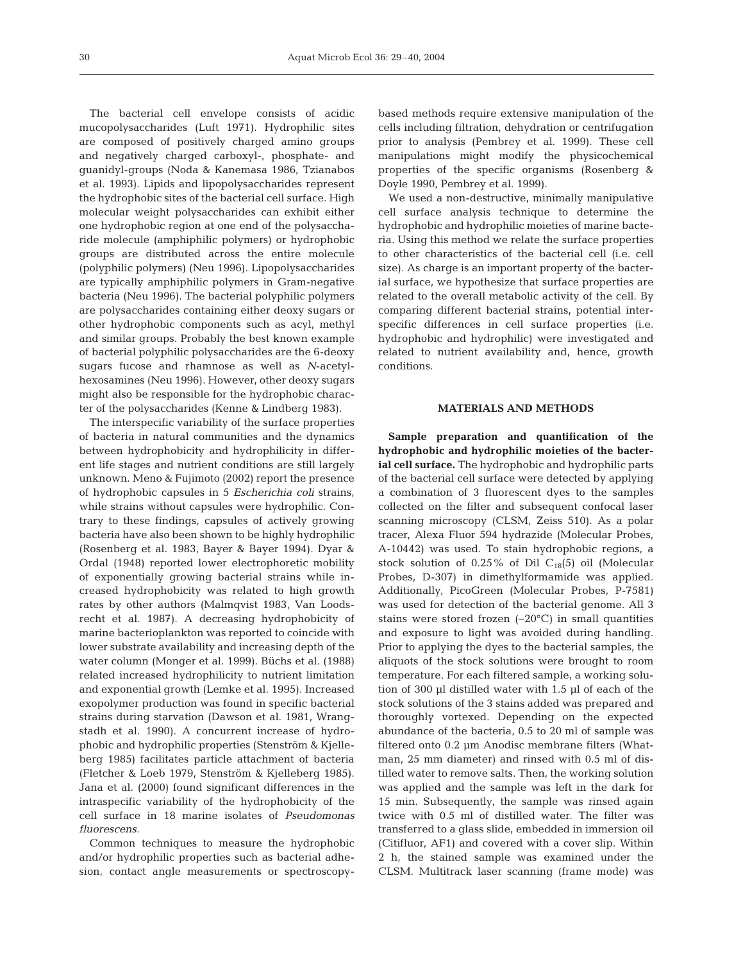The bacterial cell envelope consists of acidic mucopolysaccharides (Luft 1971). Hydrophilic sites are composed of positively charged amino groups and negatively charged carboxyl-, phosphate- and guanidyl-groups (Noda & Kanemasa 1986, Tzianabos et al. 1993). Lipids and lipopolysaccharides represent the hydrophobic sites of the bacterial cell surface. High molecular weight polysaccharides can exhibit either one hydrophobic region at one end of the polysaccharide molecule (amphiphilic polymers) or hydrophobic groups are distributed across the entire molecule (polyphilic polymers) (Neu 1996). Lipopolysaccharides are typically amphiphilic polymers in Gram-negative bacteria (Neu 1996). The bacterial polyphilic polymers are polysaccharides containing either deoxy sugars or other hydrophobic components such as acyl, methyl and similar groups. Probably the best known example of bacterial polyphilic polysaccharides are the 6-deoxy sugars fucose and rhamnose as well as *N*-acetylhexosamines (Neu 1996). However, other deoxy sugars might also be responsible for the hydrophobic character of the polysaccharides (Kenne & Lindberg 1983).

The interspecific variability of the surface properties of bacteria in natural communities and the dynamics between hydrophobicity and hydrophilicity in different life stages and nutrient conditions are still largely unknown. Meno & Fujimoto (2002) report the presence of hydrophobic capsules in 5 *Escherichia coli* strains, while strains without capsules were hydrophilic. Contrary to these findings, capsules of actively growing bacteria have also been shown to be highly hydrophilic (Rosenberg et al. 1983, Bayer & Bayer 1994). Dyar & Ordal (1948) reported lower electrophoretic mobility of exponentially growing bacterial strains while increased hydrophobicity was related to high growth rates by other authors (Malmqvist 1983, Van Loodsrecht et al. 1987). A decreasing hydrophobicity of marine bacterioplankton was reported to coincide with lower substrate availability and increasing depth of the water column (Monger et al. 1999). Büchs et al. (1988) related increased hydrophilicity to nutrient limitation and exponential growth (Lemke et al. 1995). Increased exopolymer production was found in specific bacterial strains during starvation (Dawson et al. 1981, Wrangstadh et al. 1990). A concurrent increase of hydrophobic and hydrophilic properties (Stenström & Kjelleberg 1985) facilitates particle attachment of bacteria (Fletcher & Loeb 1979, Stenström & Kjelleberg 1985). Jana et al. (2000) found significant differences in the intraspecific variability of the hydrophobicity of the cell surface in 18 marine isolates of *Pseudomonas fluorescens*.

Common techniques to measure the hydrophobic and/or hydrophilic properties such as bacterial adhesion, contact angle measurements or spectroscopy-

based methods require extensive manipulation of the cells including filtration, dehydration or centrifugation prior to analysis (Pembrey et al. 1999). These cell manipulations might modify the physicochemical properties of the specific organisms (Rosenberg & Doyle 1990, Pembrey et al. 1999).

We used a non-destructive, minimally manipulative cell surface analysis technique to determine the hydrophobic and hydrophilic moieties of marine bacteria. Using this method we relate the surface properties to other characteristics of the bacterial cell (i.e. cell size). As charge is an important property of the bacterial surface, we hypothesize that surface properties are related to the overall metabolic activity of the cell. By comparing different bacterial strains, potential interspecific differences in cell surface properties (i.e. hydrophobic and hydrophilic) were investigated and related to nutrient availability and, hence, growth conditions.

## **MATERIALS AND METHODS**

**Sample preparation and quantification of the hydrophobic and hydrophilic moieties of the bacterial cell surface.** The hydrophobic and hydrophilic parts of the bacterial cell surface were detected by applying a combination of 3 fluorescent dyes to the samples collected on the filter and subsequent confocal laser scanning microscopy (CLSM, Zeiss 510). As a polar tracer, Alexa Fluor 594 hydrazide (Molecular Probes, A-10442) was used. To stain hydrophobic regions, a stock solution of 0.25% of Dil C<sub>18</sub>(5) oil (Molecular Probes, D-307) in dimethylformamide was applied. Additionally, PicoGreen (Molecular Probes, P-7581) was used for detection of the bacterial genome. All 3 stains were stored frozen  $(-20^{\circ}C)$  in small quantities and exposure to light was avoided during handling. Prior to applying the dyes to the bacterial samples, the aliquots of the stock solutions were brought to room temperature. For each filtered sample, a working solution of 300 µl distilled water with 1.5 µl of each of the stock solutions of the 3 stains added was prepared and thoroughly vortexed. Depending on the expected abundance of the bacteria, 0.5 to 20 ml of sample was filtered onto 0.2 µm Anodisc membrane filters (Whatman, 25 mm diameter) and rinsed with 0.5 ml of distilled water to remove salts. Then, the working solution was applied and the sample was left in the dark for 15 min. Subsequently, the sample was rinsed again twice with 0.5 ml of distilled water. The filter was transferred to a glass slide, embedded in immersion oil (Citifluor, AF1) and covered with a cover slip. Within 2 h, the stained sample was examined under the CLSM. Multitrack laser scanning (frame mode) was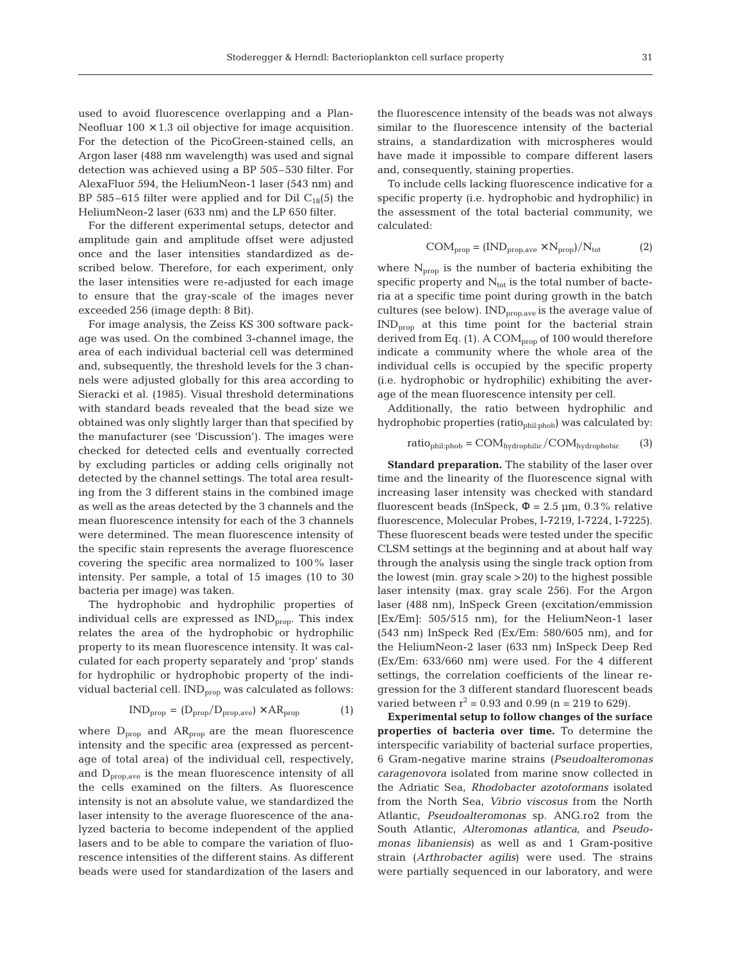used to avoid fluorescence overlapping and a Plan-Neofluar  $100 \times 1.3$  oil objective for image acquisition. For the detection of the PicoGreen-stained cells, an Argon laser (488 nm wavelength) was used and signal detection was achieved using a BP 505–530 filter. For AlexaFluor 594, the HeliumNeon-1 laser (543 nm) and BP 585–615 filter were applied and for Dil  $C_{18}(5)$  the HeliumNeon-2 laser (633 nm) and the LP 650 filter.

For the different experimental setups, detector and amplitude gain and amplitude offset were adjusted once and the laser intensities standardized as described below. Therefore, for each experiment, only the laser intensities were re-adjusted for each image to ensure that the gray-scale of the images never exceeded 256 (image depth: 8 Bit).

For image analysis, the Zeiss KS 300 software package was used. On the combined 3-channel image, the area of each individual bacterial cell was determined and, subsequently, the threshold levels for the 3 channels were adjusted globally for this area according to Sieracki et al. (1985). Visual threshold determinations with standard beads revealed that the bead size we obtained was only slightly larger than that specified by the manufacturer (see 'Discussion'). The images were checked for detected cells and eventually corrected by excluding particles or adding cells originally not detected by the channel settings. The total area resulting from the 3 different stains in the combined image as well as the areas detected by the 3 channels and the mean fluorescence intensity for each of the 3 channels were determined. The mean fluorescence intensity of the specific stain represents the average fluorescence covering the specific area normalized to 100% laser intensity. Per sample, a total of 15 images (10 to 30 bacteria per image) was taken.

The hydrophobic and hydrophilic properties of individual cells are expressed as  $IND_{prop}$ . This index relates the area of the hydrophobic or hydrophilic property to its mean fluorescence intensity. It was calculated for each property separately and 'prop' stands for hydrophilic or hydrophobic property of the individual bacterial cell.  $IND_{prop}$  was calculated as follows:

$$
IND_{prop} = (D_{prop}/D_{prop,ave}) \times AR_{prop}
$$
 (1)

where  $D_{prop}$  and  $AR_{prop}$  are the mean fluorescence intensity and the specific area (expressed as percentage of total area) of the individual cell, respectively, and  $D_{\text{prop,ave}}$  is the mean fluorescence intensity of all the cells examined on the filters. As fluorescence intensity is not an absolute value, we standardized the laser intensity to the average fluorescence of the analyzed bacteria to become independent of the applied lasers and to be able to compare the variation of fluorescence intensities of the different stains. As different beads were used for standardization of the lasers and

the fluorescence intensity of the beads was not always similar to the fluorescence intensity of the bacterial strains, a standardization with microspheres would have made it impossible to compare different lasers and, consequently, staining properties.

To include cells lacking fluorescence indicative for a specific property (i.e. hydrophobic and hydrophilic) in the assessment of the total bacterial community, we calculated:

$$
COM_{prop} = (IND_{prop,ave} \times N_{prop})/N_{tot}
$$
 (2)

where  $N_{\text{prop}}$  is the number of bacteria exhibiting the specific property and  $N_{tot}$  is the total number of bacteria at a specific time point during growth in the batch cultures (see below). IND<sub>prop,ave</sub> is the average value of INDprop at this time point for the bacterial strain derived from Eq. (1). A  $COM_{prop}$  of 100 would therefore indicate a community where the whole area of the individual cells is occupied by the specific property (i.e. hydrophobic or hydrophilic) exhibiting the average of the mean fluorescence intensity per cell.

Additionally, the ratio between hydrophilic and hydrophobic properties (ratiophil:phob) was calculated by:

$$
ratio_{phil:phob} = COM_{hydrophilic}/COM_{hydrophobic}
$$
 (3)

**Standard preparation.** The stability of the laser over time and the linearity of the fluorescence signal with increasing laser intensity was checked with standard fluorescent beads (InSpeck,  $\Phi = 2.5$  µm, 0.3% relative fluorescence, Molecular Probes, I-7219, I-7224, I-7225). These fluorescent beads were tested under the specific CLSM settings at the beginning and at about half way through the analysis using the single track option from the lowest (min. gray scale >20) to the highest possible laser intensity (max. gray scale 256). For the Argon laser (488 nm), InSpeck Green (excitation/emmission [Ex/Em]: 505/515 nm), for the HeliumNeon-1 laser (543 nm) InSpeck Red (Ex/Em: 580/605 nm), and for the HeliumNeon-2 laser (633 nm) InSpeck Deep Red (Ex/Em: 633/660 nm) were used. For the 4 different settings, the correlation coefficients of the linear regression for the 3 different standard fluorescent beads varied between  $r^2 = 0.93$  and 0.99 (n = 219 to 629).

**Experimental setup to follow changes of the surface properties of bacteria over time.** To determine the interspecific variability of bacterial surface properties, 6 Gram-negative marine strains (*Pseudoalteromonas caragenovora* isolated from marine snow collected in the Adriatic Sea, *Rhodobacter azotoformans* isolated from the North Sea, *Vibrio viscosus* from the North Atlantic, *Pseudoalteromonas* sp. ANG.ro2 from the South Atlantic, *Alteromonas atlantica*, and *Pseudomonas libaniensis*) as well as and 1 Gram-positive strain (*Arthrobacter agilis*) were used. The strains were partially sequenced in our laboratory, and were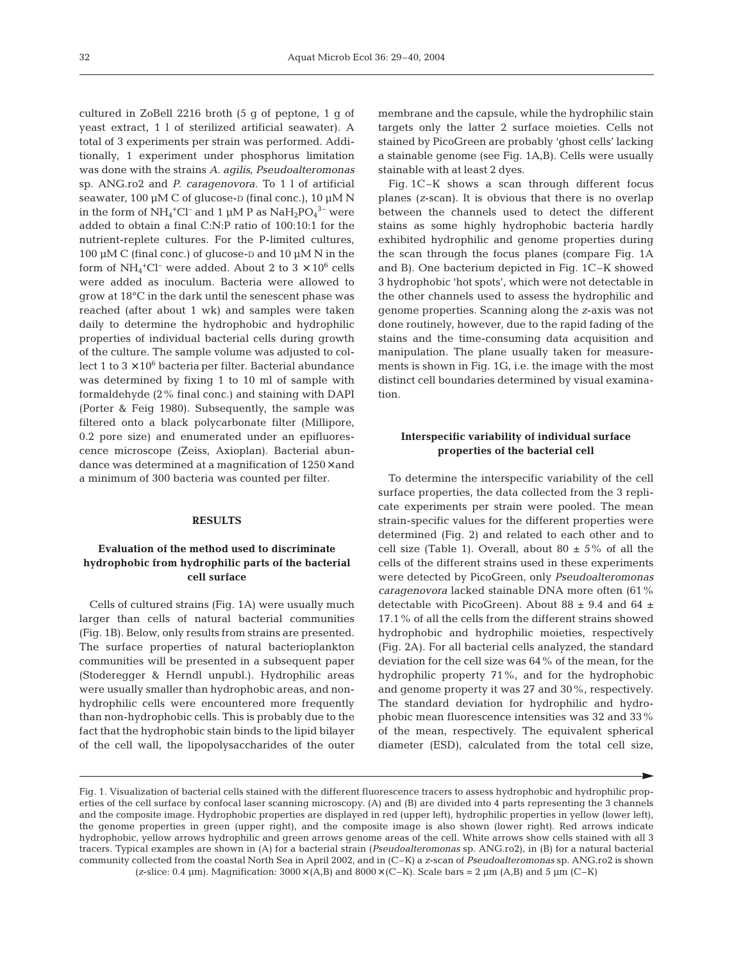cultured in ZoBell 2216 broth (5 g of peptone, 1 g of yeast extract, 1 l of sterilized artificial seawater). A total of 3 experiments per strain was performed. Additionally, 1 experiment under phosphorus limitation was done with the strains *A. agilis*, *Pseudoalteromonas* sp. ANG.ro2 and *P. caragenovora*. To 1 l of artificial seawater, 100 µM C of glucose-D (final conc.), 10 µM N in the form of  $\rm NH_4^+Cl^-$  and 1 µM P as  $\rm NaH_2PO_4^{3-}$  were added to obtain a final C:N:P ratio of 100:10:1 for the nutrient-replete cultures. For the P-limited cultures, 100  $\mu$ M C (final conc.) of glucose-D and 10  $\mu$ M N in the form of NH<sub>4</sub><sup>+</sup>Cl<sup>–</sup> were added. About 2 to  $3 \times 10^6$  cells were added as inoculum. Bacteria were allowed to grow at 18°C in the dark until the senescent phase was reached (after about 1 wk) and samples were taken daily to determine the hydrophobic and hydrophilic properties of individual bacterial cells during growth of the culture. The sample volume was adjusted to collect 1 to  $3 \times 10^6$  bacteria per filter. Bacterial abundance was determined by fixing 1 to 10 ml of sample with formaldehyde (2% final conc.) and staining with DAPI (Porter & Feig 1980). Subsequently, the sample was filtered onto a black polycarbonate filter (Millipore, 0.2 pore size) and enumerated under an epifluorescence microscope (Zeiss, Axioplan). Bacterial abundance was determined at a magnification of 1250× and a minimum of 300 bacteria was counted per filter.

## **RESULTS**

# **Evaluation of the method used to discriminate hydrophobic from hydrophilic parts of the bacterial cell surface**

Cells of cultured strains (Fig. 1A) were usually much larger than cells of natural bacterial communities (Fig. 1B). Below, only results from strains are presented. The surface properties of natural bacterioplankton communities will be presented in a subsequent paper (Stoderegger & Herndl unpubl.). Hydrophilic areas were usually smaller than hydrophobic areas, and nonhydrophilic cells were encountered more frequently than non-hydrophobic cells. This is probably due to the fact that the hydrophobic stain binds to the lipid bilayer of the cell wall, the lipopolysaccharides of the outer membrane and the capsule, while the hydrophilic stain targets only the latter 2 surface moieties. Cells not stained by PicoGreen are probably 'ghost cells' lacking a stainable genome (see Fig. 1A,B). Cells were usually stainable with at least 2 dyes.

Fig. 1C–K shows a scan through different focus planes (*z*-scan). It is obvious that there is no overlap between the channels used to detect the different stains as some highly hydrophobic bacteria hardly exhibited hydrophilic and genome properties during the scan through the focus planes (compare Fig. 1A and B). One bacterium depicted in Fig. 1C–K showed 3 hydrophobic 'hot spots', which were not detectable in the other channels used to assess the hydrophilic and genome properties. Scanning along the *z*-axis was not done routinely, however, due to the rapid fading of the stains and the time-consuming data acquisition and manipulation. The plane usually taken for measurements is shown in Fig. 1G, i.e. the image with the most distinct cell boundaries determined by visual examination.

## **Interspecific variability of individual surface properties of the bacterial cell**

To determine the interspecific variability of the cell surface properties, the data collected from the 3 replicate experiments per strain were pooled. The mean strain-specific values for the different properties were determined (Fig. 2) and related to each other and to cell size (Table 1). Overall, about 80  $\pm$  5% of all the cells of the different strains used in these experiments were detected by PicoGreen, only *Pseudoalteromonas caragenovora* lacked stainable DNA more often (61% detectable with PicoGreen). About 88  $\pm$  9.4 and 64  $\pm$ 17.1% of all the cells from the different strains showed hydrophobic and hydrophilic moieties, respectively (Fig. 2A). For all bacterial cells analyzed, the standard deviation for the cell size was 64% of the mean, for the hydrophilic property 71%, and for the hydrophobic and genome property it was 27 and 30%, respectively. The standard deviation for hydrophilic and hydrophobic mean fluorescence intensities was 32 and 33% of the mean, respectively. The equivalent spherical diameter (ESD), calculated from the total cell size,

Fig. 1. Visualization of bacterial cells stained with the different fluorescence tracers to assess hydrophobic and hydrophilic properties of the cell surface by confocal laser scanning microscopy. (A) and (B) are divided into 4 parts representing the 3 channels and the composite image. Hydrophobic properties are displayed in red (upper left), hydrophilic properties in yellow (lower left), the genome properties in green (upper right), and the composite image is also shown (lower right). Red arrows indicate hydrophobic, yellow arrows hydrophilic and green arrows genome areas of the cell. White arrows show cells stained with all 3 tracers. Typical examples are shown in (A) for a bacterial strain (*Pseudoalteromonas* sp. ANG.ro2), in (B) for a natural bacterial community collected from the coastal North Sea in April 2002, and in (C–K) a *z*-scan of *Pseudoalteromonas* sp. ANG.ro2 is shown (*z*-slice: 0.4  $\mu$ m). Magnification:  $3000 \times (A,B)$  and  $8000 \times (C-K)$ . Scale bars = 2  $\mu$ m (A,B) and 5  $\mu$ m (C–K)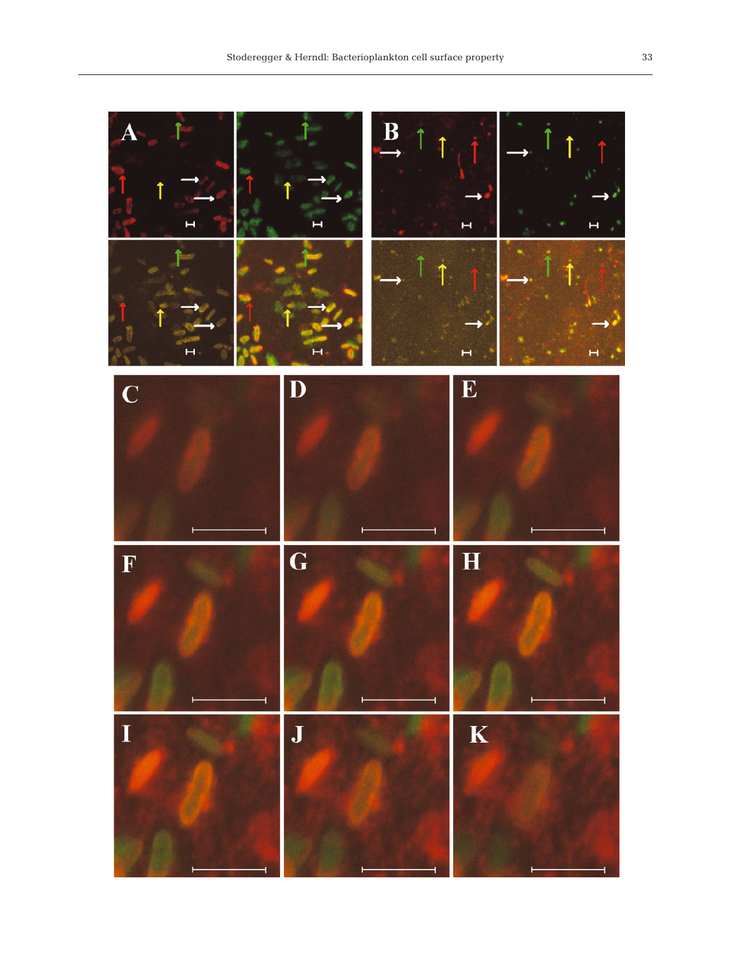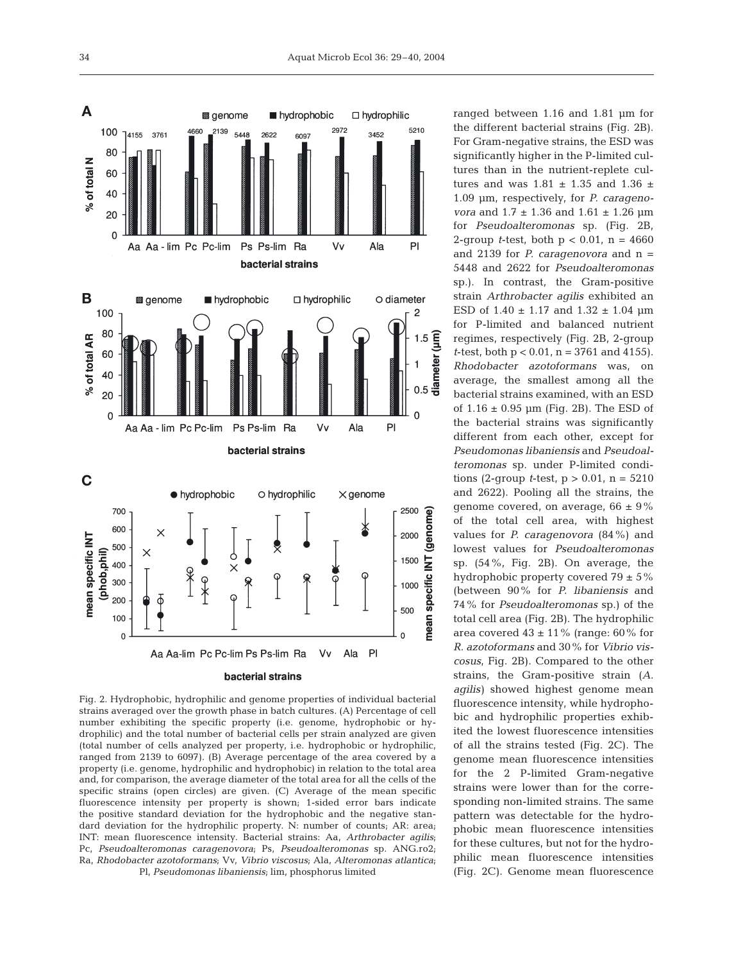

Fig. 2. Hydrophobic, hydrophilic and genome properties of individual bacterial strains averaged over the growth phase in batch cultures. (A) Percentage of cell number exhibiting the specific property (i.e. genome, hydrophobic or hydrophilic) and the total number of bacterial cells per strain analyzed are given (total number of cells analyzed per property, i.e. hydrophobic or hydrophilic, ranged from 2139 to 6097). (B) Average percentage of the area covered by a property (i.e. genome, hydrophilic and hydrophobic) in relation to the total area and, for comparison, the average diameter of the total area for all the cells of the specific strains (open circles) are given. (C) Average of the mean specific fluorescence intensity per property is shown; 1-sided error bars indicate the positive standard deviation for the hydrophobic and the negative standard deviation for the hydrophilic property. N: number of counts; AR: area; INT: mean fluorescence intensity. Bacterial strains: Aa, *Arthrobacter agilis*; Pc, *Pseudoalteromonas caragenovora*; Ps, *Pseudoalteromonas* sp. ANG.ro2; Ra, *Rhodobacter azotoformans*; Vv, *Vibrio viscosus*; Ala, *Alteromonas atlantica*; Pl, *Pseudomonas libaniensis*; lim, phosphorus limited

ranged between 1.16 and 1.81 µm for the different bacterial strains (Fig. 2B). For Gram-negative strains, the ESD was significantly higher in the P-limited cultures than in the nutrient-replete cultures and was  $1.81 \pm 1.35$  and  $1.36 \pm$ 1.09 µm, respectively, for *P. caragenovora* and 1.7 ± 1.36 and 1.61 ± 1.26 µm for *Pseudoalteromonas* sp. (Fig. 2B, 2-group *t*-test, both  $p < 0.01$ ,  $n = 4660$ and 2139 for *P. caragenovora* and n = 5448 and 2622 for *Pseudoalteromonas* sp.). In contrast, the Gram-positive strain *Arthrobacter agilis* exhibited an ESD of  $1.40 \pm 1.17$  and  $1.32 \pm 1.04$  µm for P-limited and balanced nutrient regimes, respectively (Fig. 2B, 2-group *t*-test, both p < 0.01, n = 3761 and 4155). *Rhodobacter azotoformans* was, on average, the smallest among all the bacterial strains examined, with an ESD of  $1.16 \pm 0.95$  µm (Fig. 2B). The ESD of the bacterial strains was significantly different from each other, except for *Pseudomonas libaniensis* and *Pseudoalteromonas* sp. under P-limited conditions (2-group *t*-test, p > 0.01, n = 5210 and 2622). Pooling all the strains, the genome covered, on average,  $66 \pm 9\%$ of the total cell area, with highest values for *P. caragenovora* (84%) and lowest values for *Pseudoalteromonas* sp. (54%, Fig. 2B). On average, the hydrophobic property covered  $79 \pm 5\%$ (between 90% for *P. libaniensis* and 74% for *Pseudoalteromonas* sp.) of the total cell area (Fig. 2B). The hydrophilic area covered  $43 \pm 11\%$  (range: 60% for *R. azotoformans* and 30% for *Vibrio viscosus*, Fig. 2B). Compared to the other strains, the Gram-positive strain (*A. agilis)* showed highest genome mean fluorescence intensity, while hydrophobic and hydrophilic properties exhibited the lowest fluorescence intensities of all the strains tested (Fig. 2C). The genome mean fluorescence intensities for the 2 P-limited Gram-negative strains were lower than for the corresponding non-limited strains. The same pattern was detectable for the hydrophobic mean fluorescence intensities for these cultures, but not for the hydrophilic mean fluorescence intensities (Fig. 2C). Genome mean fluorescence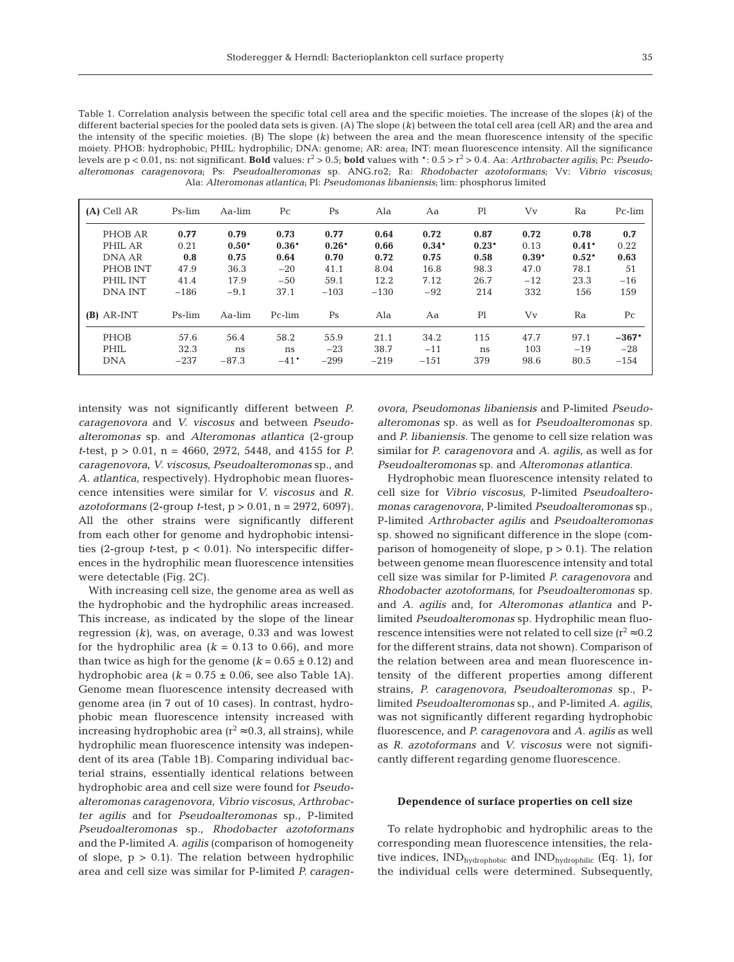35

Table 1. Correlation analysis between the specific total cell area and the specific moieties. The increase of the slopes (*k)* of the different bacterial species for the pooled data sets is given. (A) The slope (*k)* between the total cell area (cell AR) and the area and the intensity of the specific moieties. (B) The slope (*k)* between the area and the mean fluorescence intensity of the specific moiety. PHOB: hydrophobic; PHIL: hydrophilic; DNA: genome; AR: area; INT: mean fluorescence intensity. All the significance levels are  $p < 0.01$ , ns: not significant. **Bold** values:  $r^2 > 0.5$ ; **bold** values with  $\cdot : 0.5 > r^2 > 0.4$ . Aa: *Arthrobacter agilis*; Pc: *Pseudoalteromonas caragenovora*; Ps: *Pseudoalteromonas* sp. ANG.ro2; Ra: *Rhodobacter azotoformans*; Vv: *Vibrio viscosus*; Ala: *Alteromonas atlantica*; Pl: *Pseudomonas libaniensis*; lim: phosphorus limited

| (A) Cell AR    | Ps-lim | Aa-lim  | P <sub>C</sub> | Ps      | Ala    | Aa      | P <sub>l</sub> | Vv      | Ra      | Pc-lim         |
|----------------|--------|---------|----------------|---------|--------|---------|----------------|---------|---------|----------------|
| PHOB AR        | 0.77   | 0.79    | 0.73           | 0.77    | 0.64   | 0.72    | 0.87           | 0.72    | 0.78    | 0.7            |
| PHIL AR        | 0.21   | $0.50*$ | $0.36*$        | $0.26*$ | 0.66   | $0.34*$ | $0.23*$        | 0.13    | $0.41*$ | 0.22           |
| DNA AR         | 0.8    | 0.75    | 0.64           | 0.70    | 0.72   | 0.75    | 0.58           | $0.39*$ | $0.52*$ | 0.63           |
| PHOB INT       | 47.9   | 36.3    | $-20$          | 41.1    | 8.04   | 16.8    | 98.3           | 47.0    | 78.1    | 51             |
| PHIL INT       | 41.4   | 17.9    | $-50$          | 59.1    | 12.2   | 7.12    | 26.7           | $-12$   | 23.3    | $-16$          |
| <b>DNA INT</b> | $-186$ | $-9.1$  | 37.1           | $-103$  | $-130$ | $-92$   | 214            | 332     | 156     | 159            |
| $(B)$ AR-INT   | Ps-lim | Aa-lim  | Pc-lim         | Ps      | Ala    | Aa      | P <sub>1</sub> | Vv      | Ra      | P <sub>C</sub> |
| PHOB           | 57.6   | 56.4    | 58.2           | 55.9    | 21.1   | 34.2    | 115            | 47.7    | 97.1    | $-367*$        |
| <b>PHIL</b>    | 32.3   | ns      | ns             | $-23$   | 38.7   | $-11$   | ns             | 103     | $-19$   | $-28$          |
| <b>DNA</b>     | $-237$ | $-87.3$ | $-41*$         | $-299$  | $-219$ | $-151$  | 379            | 98.6    | 80.5    | $-154$         |

intensity was not significantly different between *P. caragenovora* and *V. viscosus* and between *Pseudoalteromonas* sp. and *Alteromonas atlantica* (2-group *t*-test, p > 0.01, n = 4660, 2972, 5448, and 4155 for *P. caragenovora*, *V. viscosus*, *Pseudoalteromonas* sp., and *A. atlantica*, respectively). Hydrophobic mean fluorescence intensities were similar for *V. viscosus* and *R. azotoformans* (2-group *t*-test, p > 0.01, n = 2972, 6097). All the other strains were significantly different from each other for genome and hydrophobic intensities (2-group *t*-test, p < 0.01). No interspecific differences in the hydrophilic mean fluorescence intensities were detectable (Fig. 2C).

With increasing cell size, the genome area as well as the hydrophobic and the hydrophilic areas increased. This increase, as indicated by the slope of the linear regression (*k)*, was, on average, 0.33 and was lowest for the hydrophilic area  $(k = 0.13$  to 0.66), and more than twice as high for the genome  $(k = 0.65 \pm 0.12)$  and hydrophobic area  $(k = 0.75 \pm 0.06)$ , see also Table 1A). Genome mean fluorescence intensity decreased with genome area (in 7 out of 10 cases). In contrast, hydrophobic mean fluorescence intensity increased with increasing hydrophobic area  $(r^2 \approx 0.3)$ , all strains), while hydrophilic mean fluorescence intensity was independent of its area (Table 1B). Comparing individual bacterial strains, essentially identical relations between hydrophobic area and cell size were found for *Pseudoalteromonas caragenovora*, *Vibrio viscosus*, *Arthrobacter agilis* and for *Pseudoalteromonas* sp., P-limited *Pseudoalteromonas* sp*., Rhodobacter azotoformans* and the P-limited *A. agilis* (comparison of homogeneity of slope,  $p > 0.1$ ). The relation between hydrophilic area and cell size was similar for P-limited *P. caragen-*

*ovora*, *Pseudomonas libaniensis* and P-limited *Pseudoalteromonas* sp. as well as for *Pseudoalteromonas* sp. and *P. libaniensis*. The genome to cell size relation was similar for *P. caragenovora* and *A. agilis*, as well as for *Pseudoalteromonas* sp. and *Alteromonas atlantica*.

Hydrophobic mean fluorescence intensity related to cell size for *Vibrio viscosus*, P-limited *Pseudoalteromonas caragenovora*, P-limited *Pseudoalteromonas* sp., P-limited *Arthrobacter agilis* and *Pseudoalteromonas* sp. showed no significant difference in the slope (comparison of homogeneity of slope,  $p > 0.1$ ). The relation between genome mean fluorescence intensity and total cell size was similar for P-limited *P. caragenovora* and *Rhodobacter azotoformans*, for *Pseudoalteromonas* sp. and *A. agilis* and, for *Alteromonas atlantica* and Plimited *Pseudoalteromonas* sp. Hydrophilic mean fluorescence intensities were not related to cell size  $(r^2 \approx 0.2$ for the different strains, data not shown). Comparison of the relation between area and mean fluorescence intensity of the different properties among different strains, *P. caragenovora*, *Pseudoalteromonas* sp., Plimited *Pseudoalteromonas* sp., and P-limited *A. agilis*, was not significantly different regarding hydrophobic fluorescence, and *P. caragenovora* and *A. agilis* as well as *R. azotoformans* and *V. viscosus* were not significantly different regarding genome fluorescence.

## **Dependence of surface properties on cell size**

To relate hydrophobic and hydrophilic areas to the corresponding mean fluorescence intensities, the relative indices, INDhydrophobic and INDhydrophilic (Eq. 1), for the individual cells were determined. Subsequently,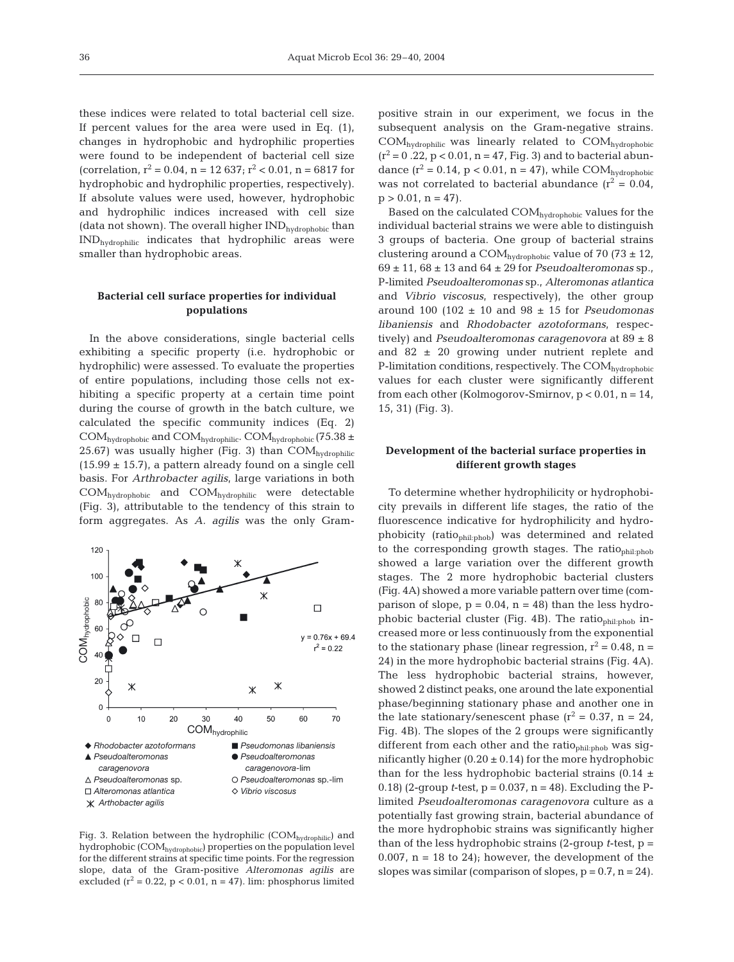these indices were related to total bacterial cell size. If percent values for the area were used in Eq. (1), changes in hydrophobic and hydrophilic properties were found to be independent of bacterial cell size (correlation,  $r^2 = 0.04$ ,  $n = 12637$ ;  $r^2 < 0.01$ ,  $n = 6817$  for hydrophobic and hydrophilic properties, respectively). If absolute values were used, however, hydrophobic and hydrophilic indices increased with cell size (data not shown). The overall higher  $IND<sub>hydrophobic</sub>$  than INDhydrophilic indicates that hydrophilic areas were smaller than hydrophobic areas.

# **Bacterial cell surface properties for individual populations**

In the above considerations, single bacterial cells exhibiting a specific property (i.e. hydrophobic or hydrophilic) were assessed. To evaluate the properties of entire populations, including those cells not exhibiting a specific property at a certain time point during the course of growth in the batch culture, we calculated the specific community indices (Eq. 2) COMhydrophobic and COMhydrophilic. COMhydrophobic (75.38 ± 25.67) was usually higher (Fig. 3) than  $COM_{\text{hydrophilic}}$  $(15.99 \pm 15.7)$ , a pattern already found on a single cell basis. For *Arthrobacter agilis*, large variations in both COMhydrophobic and COMhydrophilic were detectable (Fig. 3), attributable to the tendency of this strain to form aggregates. As *A. agilis* was the only Gram-



Fig. 3. Relation between the hydrophilic (COM<sub>hydrophilic</sub>) and hydrophobic (COMhydrophobic) properties on the population level for the different strains at specific time points. For the regression slope, data of the Gram-positive *Alteromonas agilis* are excluded  $(r^2 = 0.22, p < 0.01, n = 47)$ . lim: phosphorus limited

positive strain in our experiment, we focus in the subsequent analysis on the Gram-negative strains. COMhydrophilic was linearly related to COMhydrophobic  $(r^2 = 0.22, p < 0.01, n = 47, Fig. 3)$  and to bacterial abundance  $(r^2 = 0.14, p < 0.01, n = 47)$ , while COM<sub>hydrophobic</sub> was not correlated to bacterial abundance  $(r^2 = 0.04,$  $p > 0.01$ ,  $n = 47$ ).

Based on the calculated COMhydrophobic values for the individual bacterial strains we were able to distinguish 3 groups of bacteria. One group of bacterial strains clustering around a COM<sub>hydrophobic</sub> value of 70 (73  $\pm$  12, 69 ± 11, 68 ± 13 and 64 ± 29 for *Pseudoalteromonas* sp., P-limited *Pseudoalteromonas* sp., *Alteromonas atlantica* and *Vibrio viscosus*, respectively), the other group around 100 (102 ± 10 and 98 ± 15 for *Pseudomonas libaniensis* and *Rhodobacter azotoformans*, respectively) and *Pseudoalteromonas caragenovora* at 89 ± 8 and  $82 \pm 20$  growing under nutrient replete and P-limitation conditions, respectively. The COM<sub>hydrophobic</sub> values for each cluster were significantly different from each other (Kolmogorov-Smirnov,  $p < 0.01$ ,  $n = 14$ , 15, 31) (Fig. 3).

# **Development of the bacterial surface properties in different growth stages**

To determine whether hydrophilicity or hydrophobicity prevails in different life stages, the ratio of the fluorescence indicative for hydrophilicity and hydrophobicity (ratiophil:phob) was determined and related to the corresponding growth stages. The ratio<sub>phil:phob</sub> showed a large variation over the different growth stages. The 2 more hydrophobic bacterial clusters (Fig. 4A) showed a more variable pattern over time (comparison of slope,  $p = 0.04$ ,  $n = 48$ ) than the less hydrophobic bacterial cluster (Fig. 4B). The ratio<sub>phil:phob</sub> increased more or less continuously from the exponential to the stationary phase (linear regression,  $r^2 = 0.48$ , n = 24) in the more hydrophobic bacterial strains (Fig. 4A). The less hydrophobic bacterial strains, however, showed 2 distinct peaks, one around the late exponential phase/beginning stationary phase and another one in the late stationary/senescent phase  $(r^2 = 0.37, n = 24,$ Fig. 4B). The slopes of the 2 groups were significantly different from each other and the ratio<sub>phil:phob</sub> was significantly higher  $(0.20 \pm 0.14)$  for the more hydrophobic than for the less hydrophobic bacterial strains  $(0.14 \pm 1)$ 0.18) (2-group *t*-test, p = 0.037, n = 48). Excluding the Plimited *Pseudoalteromonas caragenovora* culture as a potentially fast growing strain, bacterial abundance of the more hydrophobic strains was significantly higher than of the less hydrophobic strains (2-group *t*-test, p =  $0.007$ ,  $n = 18$  to 24); however, the development of the slopes was similar (comparison of slopes,  $p = 0.7$ ,  $n = 24$ ).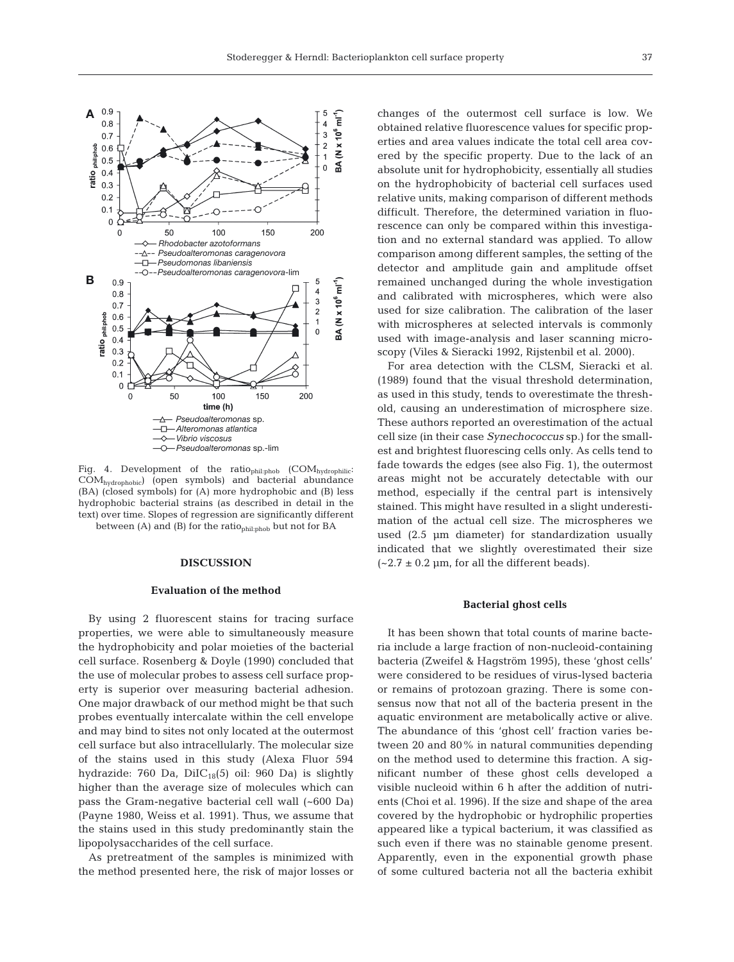

Fig. 4. Development of the ratio $_{\rm{phil:phob}}$  (COM $_{\rm{hydrophilic}}$ : COMhydrophobic) (open symbols) and bacterial abundance (BA) (closed symbols) for (A) more hydrophobic and (B) less hydrophobic bacterial strains (as described in detail in the text) over time. Slopes of regression are significantly different

between (A) and (B) for the ratio $_{\text{phil:phob}}$  but not for BA

## **DISCUSSION**

#### **Evaluation of the method**

By using 2 fluorescent stains for tracing surface properties, we were able to simultaneously measure the hydrophobicity and polar moieties of the bacterial cell surface. Rosenberg & Doyle (1990) concluded that the use of molecular probes to assess cell surface property is superior over measuring bacterial adhesion. One major drawback of our method might be that such probes eventually intercalate within the cell envelope and may bind to sites not only located at the outermost cell surface but also intracellularly. The molecular size of the stains used in this study (Alexa Fluor 594 hydrazide: 760 Da, DiI $C_{18}(5)$  oil: 960 Da) is slightly higher than the average size of molecules which can pass the Gram-negative bacterial cell wall (~600 Da) (Payne 1980, Weiss et al. 1991). Thus, we assume that the stains used in this study predominantly stain the lipopolysaccharides of the cell surface.

As pretreatment of the samples is minimized with the method presented here, the risk of major losses or

changes of the outermost cell surface is low. We obtained relative fluorescence values for specific properties and area values indicate the total cell area covered by the specific property. Due to the lack of an absolute unit for hydrophobicity, essentially all studies on the hydrophobicity of bacterial cell surfaces used relative units, making comparison of different methods difficult. Therefore, the determined variation in fluorescence can only be compared within this investigation and no external standard was applied. To allow comparison among different samples, the setting of the detector and amplitude gain and amplitude offset remained unchanged during the whole investigation and calibrated with microspheres, which were also used for size calibration. The calibration of the laser with microspheres at selected intervals is commonly used with image-analysis and laser scanning microscopy (Viles & Sieracki 1992, Rijstenbil et al. 2000).

For area detection with the CLSM, Sieracki et al. (1989) found that the visual threshold determination, as used in this study, tends to overestimate the threshold, causing an underestimation of microsphere size. These authors reported an overestimation of the actual cell size (in their case *Synechococcus* sp.) for the smallest and brightest fluorescing cells only. As cells tend to fade towards the edges (see also Fig. 1), the outermost areas might not be accurately detectable with our method, especially if the central part is intensively stained. This might have resulted in a slight underestimation of the actual cell size. The microspheres we used (2.5 µm diameter) for standardization usually indicated that we slightly overestimated their size  $(-2.7 \pm 0.2 \,\mathrm{\mu m}$ , for all the different beads).

## **Bacterial ghost cells**

It has been shown that total counts of marine bacteria include a large fraction of non-nucleoid-containing bacteria (Zweifel & Hagström 1995), these 'ghost cells' were considered to be residues of virus-lysed bacteria or remains of protozoan grazing. There is some consensus now that not all of the bacteria present in the aquatic environment are metabolically active or alive. The abundance of this 'ghost cell' fraction varies between 20 and 80% in natural communities depending on the method used to determine this fraction. A significant number of these ghost cells developed a visible nucleoid within 6 h after the addition of nutrients (Choi et al. 1996). If the size and shape of the area covered by the hydrophobic or hydrophilic properties appeared like a typical bacterium, it was classified as such even if there was no stainable genome present. Apparently, even in the exponential growth phase of some cultured bacteria not all the bacteria exhibit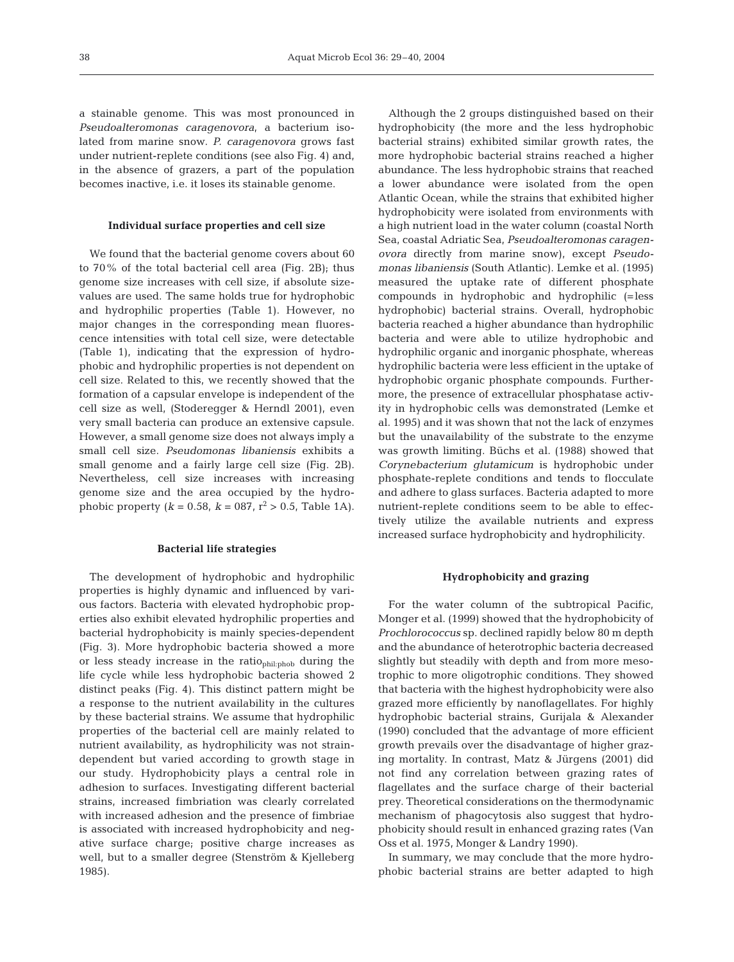a stainable genome. This was most pronounced in *Pseudoalteromonas caragenovora*, a bacterium isolated from marine snow. *P. caragenovora* grows fast under nutrient-replete conditions (see also Fig. 4) and, in the absence of grazers, a part of the population becomes inactive, i.e. it loses its stainable genome.

## **Individual surface properties and cell size**

We found that the bacterial genome covers about 60 to 70% of the total bacterial cell area (Fig. 2B); thus genome size increases with cell size, if absolute sizevalues are used. The same holds true for hydrophobic and hydrophilic properties (Table 1). However, no major changes in the corresponding mean fluorescence intensities with total cell size, were detectable (Table 1), indicating that the expression of hydrophobic and hydrophilic properties is not dependent on cell size. Related to this, we recently showed that the formation of a capsular envelope is independent of the cell size as well, (Stoderegger & Herndl 2001), even very small bacteria can produce an extensive capsule. However, a small genome size does not always imply a small cell size. *Pseudomonas libaniensis* exhibits a small genome and a fairly large cell size (Fig. 2B). Nevertheless, cell size increases with increasing genome size and the area occupied by the hydrophobic property ( $k = 0.58$ ,  $k = 087$ ,  $r^2 > 0.5$ , Table 1A).

## **Bacterial life strategies**

The development of hydrophobic and hydrophilic properties is highly dynamic and influenced by various factors. Bacteria with elevated hydrophobic properties also exhibit elevated hydrophilic properties and bacterial hydrophobicity is mainly species-dependent (Fig. 3). More hydrophobic bacteria showed a more or less steady increase in the ratiophil:phob during the life cycle while less hydrophobic bacteria showed 2 distinct peaks (Fig. 4). This distinct pattern might be a response to the nutrient availability in the cultures by these bacterial strains. We assume that hydrophilic properties of the bacterial cell are mainly related to nutrient availability, as hydrophilicity was not straindependent but varied according to growth stage in our study. Hydrophobicity plays a central role in adhesion to surfaces. Investigating different bacterial strains, increased fimbriation was clearly correlated with increased adhesion and the presence of fimbriae is associated with increased hydrophobicity and negative surface charge; positive charge increases as well, but to a smaller degree (Stenström & Kjelleberg 1985).

Although the 2 groups distinguished based on their hydrophobicity (the more and the less hydrophobic bacterial strains) exhibited similar growth rates, the more hydrophobic bacterial strains reached a higher abundance. The less hydrophobic strains that reached a lower abundance were isolated from the open Atlantic Ocean, while the strains that exhibited higher hydrophobicity were isolated from environments with a high nutrient load in the water column (coastal North Sea, coastal Adriatic Sea, *Pseudoalteromonas caragenovora* directly from marine snow), except *Pseudomonas libaniensis* (South Atlantic). Lemke et al. (1995) measured the uptake rate of different phosphate compounds in hydrophobic and hydrophilic (=less hydrophobic) bacterial strains. Overall, hydrophobic bacteria reached a higher abundance than hydrophilic bacteria and were able to utilize hydrophobic and hydrophilic organic and inorganic phosphate, whereas hydrophilic bacteria were less efficient in the uptake of hydrophobic organic phosphate compounds. Furthermore, the presence of extracellular phosphatase activity in hydrophobic cells was demonstrated (Lemke et al. 1995) and it was shown that not the lack of enzymes but the unavailability of the substrate to the enzyme was growth limiting. Büchs et al. (1988) showed that *Corynebacterium glutamicum* is hydrophobic under phosphate-replete conditions and tends to flocculate and adhere to glass surfaces. Bacteria adapted to more nutrient-replete conditions seem to be able to effectively utilize the available nutrients and express increased surface hydrophobicity and hydrophilicity.

## **Hydrophobicity and grazing**

For the water column of the subtropical Pacific, Monger et al. (1999) showed that the hydrophobicity of *Prochlorococcus* sp. declined rapidly below 80 m depth and the abundance of heterotrophic bacteria decreased slightly but steadily with depth and from more mesotrophic to more oligotrophic conditions. They showed that bacteria with the highest hydrophobicity were also grazed more efficiently by nanoflagellates. For highly hydrophobic bacterial strains, Gurijala & Alexander (1990) concluded that the advantage of more efficient growth prevails over the disadvantage of higher grazing mortality. In contrast, Matz & Jürgens (2001) did not find any correlation between grazing rates of flagellates and the surface charge of their bacterial prey. Theoretical considerations on the thermodynamic mechanism of phagocytosis also suggest that hydrophobicity should result in enhanced grazing rates (Van Oss et al. 1975, Monger & Landry 1990).

In summary, we may conclude that the more hydrophobic bacterial strains are better adapted to high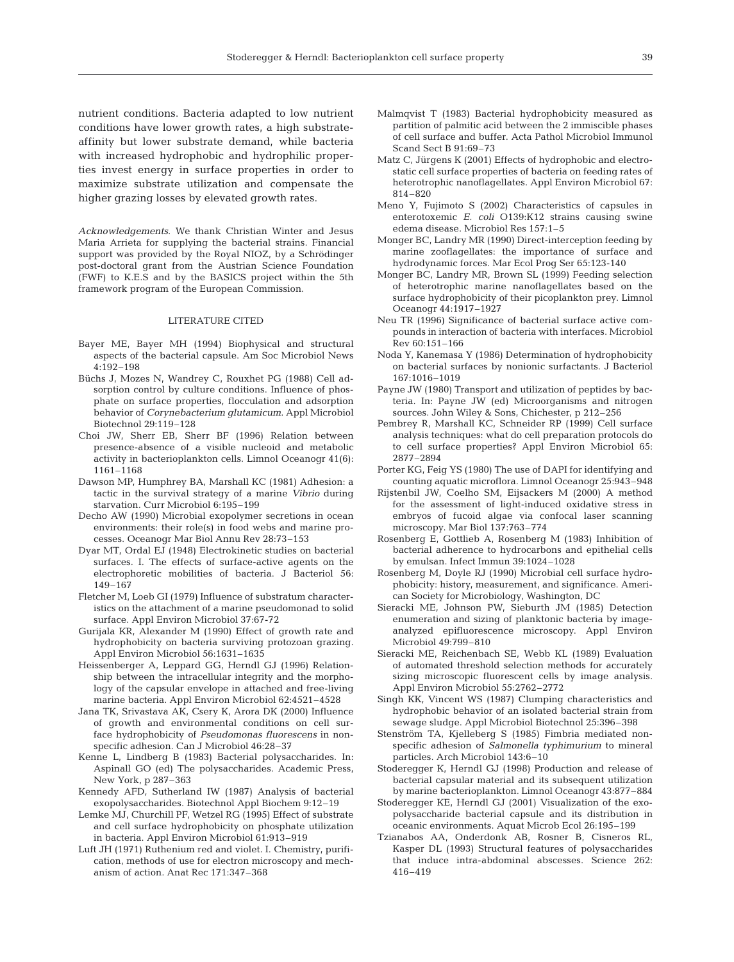nutrient conditions. Bacteria adapted to low nutrient conditions have lower growth rates, a high substrateaffinity but lower substrate demand, while bacteria with increased hydrophobic and hydrophilic properties invest energy in surface properties in order to maximize substrate utilization and compensate the higher grazing losses by elevated growth rates.

*Acknowledgements*. We thank Christian Winter and Jesus Maria Arrieta for supplying the bacterial strains. Financial support was provided by the Royal NIOZ, by a Schrödinger post-doctoral grant from the Austrian Science Foundation (FWF) to K.E.S and by the BASICS project within the 5th framework program of the European Commission.

## LITERATURE CITED

- Bayer ME, Bayer MH (1994) Biophysical and structural aspects of the bacterial capsule. Am Soc Microbiol News 4:192–198
- Büchs J, Mozes N, Wandrey C, Rouxhet PG (1988) Cell adsorption control by culture conditions. Influence of phosphate on surface properties, flocculation and adsorption behavior of *Corynebacterium glutamicum*. Appl Microbiol Biotechnol 29:119–128
- Choi JW, Sherr EB, Sherr BF (1996) Relation between presence-absence of a visible nucleoid and metabolic activity in bacterioplankton cells. Limnol Oceanogr 41(6): 1161–1168
- Dawson MP, Humphrey BA, Marshall KC (1981) Adhesion: a tactic in the survival strategy of a marine *Vibrio* during starvation. Curr Microbiol 6:195–199
- Decho AW (1990) Microbial exopolymer secretions in ocean environments: their role(s) in food webs and marine processes. Oceanogr Mar Biol Annu Rev 28:73–153
- Dyar MT, Ordal EJ (1948) Electrokinetic studies on bacterial surfaces. I. The effects of surface-active agents on the electrophoretic mobilities of bacteria. J Bacteriol 56: 149–167
- Fletcher M, Loeb GI (1979) Influence of substratum characteristics on the attachment of a marine pseudomonad to solid surface. Appl Environ Microbiol 37:67-72
- Gurijala KR, Alexander M (1990) Effect of growth rate and hydrophobicity on bacteria surviving protozoan grazing. Appl Environ Microbiol 56:1631–1635
- Heissenberger A, Leppard GG, Herndl GJ (1996) Relationship between the intracellular integrity and the morphology of the capsular envelope in attached and free-living marine bacteria. Appl Environ Microbiol 62:4521–4528
- Jana TK, Srivastava AK, Csery K, Arora DK (2000) Influence of growth and environmental conditions on cell surface hydrophobicity of *Pseudomonas fluorescens* in nonspecific adhesion. Can J Microbiol 46:28–37
- Kenne L, Lindberg B (1983) Bacterial polysaccharides. In: Aspinall GO (ed) The polysaccharides. Academic Press, New York, p 287–363
- Kennedy AFD, Sutherland IW (1987) Analysis of bacterial exopolysaccharides. Biotechnol Appl Biochem 9:12–19
- Lemke MJ, Churchill PF, Wetzel RG (1995) Effect of substrate and cell surface hydrophobicity on phosphate utilization in bacteria. Appl Environ Microbiol 61:913–919
- Luft JH (1971) Ruthenium red and violet. I. Chemistry, purification, methods of use for electron microscopy and mechanism of action. Anat Rec 171:347–368
- Malmqvist T (1983) Bacterial hydrophobicity measured as partition of palmitic acid between the 2 immiscible phases of cell surface and buffer. Acta Pathol Microbiol Immunol Scand Sect B 91:69–73
- Matz C, Jürgens K (2001) Effects of hydrophobic and electrostatic cell surface properties of bacteria on feeding rates of heterotrophic nanoflagellates. Appl Environ Microbiol 67: 814–820
- Meno Y, Fujimoto S (2002) Characteristics of capsules in enterotoxemic *E. coli* O139:K12 strains causing swine edema disease. Microbiol Res 157:1–5
- Monger BC, Landry MR (1990) Direct-interception feeding by marine zooflagellates: the importance of surface and hydrodynamic forces. Mar Ecol Prog Ser 65:123-140
- Monger BC, Landry MR, Brown SL (1999) Feeding selection of heterotrophic marine nanoflagellates based on the surface hydrophobicity of their picoplankton prey. Limnol Oceanogr 44:1917–1927
- Neu TR (1996) Significance of bacterial surface active compounds in interaction of bacteria with interfaces. Microbiol Rev 60:151–166
- Noda Y, Kanemasa Y (1986) Determination of hydrophobicity on bacterial surfaces by nonionic surfactants. J Bacteriol 167:1016–1019
- Payne JW (1980) Transport and utilization of peptides by bacteria. In: Payne JW (ed) Microorganisms and nitrogen sources. John Wiley & Sons, Chichester, p 212–256
- Pembrey R, Marshall KC, Schneider RP (1999) Cell surface analysis techniques: what do cell preparation protocols do to cell surface properties? Appl Environ Microbiol 65: 2877–2894
- Porter KG, Feig YS (1980) The use of DAPI for identifying and counting aquatic microflora. Limnol Oceanogr 25:943–948
- Rijstenbil JW, Coelho SM, Eijsackers M (2000) A method for the assessment of light-induced oxidative stress in embryos of fucoid algae via confocal laser scanning microscopy. Mar Biol 137:763–774
- Rosenberg E, Gottlieb A, Rosenberg M (1983) Inhibition of bacterial adherence to hydrocarbons and epithelial cells by emulsan. Infect Immun 39:1024–1028
- Rosenberg M, Doyle RJ (1990) Microbial cell surface hydrophobicity: history, measurement, and significance. American Society for Microbiology, Washington, DC
- Sieracki ME, Johnson PW, Sieburth JM (1985) Detection enumeration and sizing of planktonic bacteria by imageanalyzed epifluorescence microscopy. Appl Environ Microbiol 49:799–810
- Sieracki ME, Reichenbach SE, Webb KL (1989) Evaluation of automated threshold selection methods for accurately sizing microscopic fluorescent cells by image analysis. Appl Environ Microbiol 55:2762–2772
- Singh KK, Vincent WS (1987) Clumping characteristics and hydrophobic behavior of an isolated bacterial strain from sewage sludge. Appl Microbiol Biotechnol 25:396–398
- Stenström TA, Kjelleberg S (1985) Fimbria mediated nonspecific adhesion of *Salmonella typhimurium* to mineral particles. Arch Microbiol 143:6–10
- Stoderegger K, Herndl GJ (1998) Production and release of bacterial capsular material and its subsequent utilization by marine bacterioplankton. Limnol Oceanogr 43:877–884
- Stoderegger KE, Herndl GJ (2001) Visualization of the exopolysaccharide bacterial capsule and its distribution in oceanic environments. Aquat Microb Ecol 26:195–199
- Tzianabos AA, Onderdonk AB, Rosner B, Cisneros RL, Kasper DL (1993) Structural features of polysaccharides that induce intra-abdominal abscesses. Science 262: 416–419